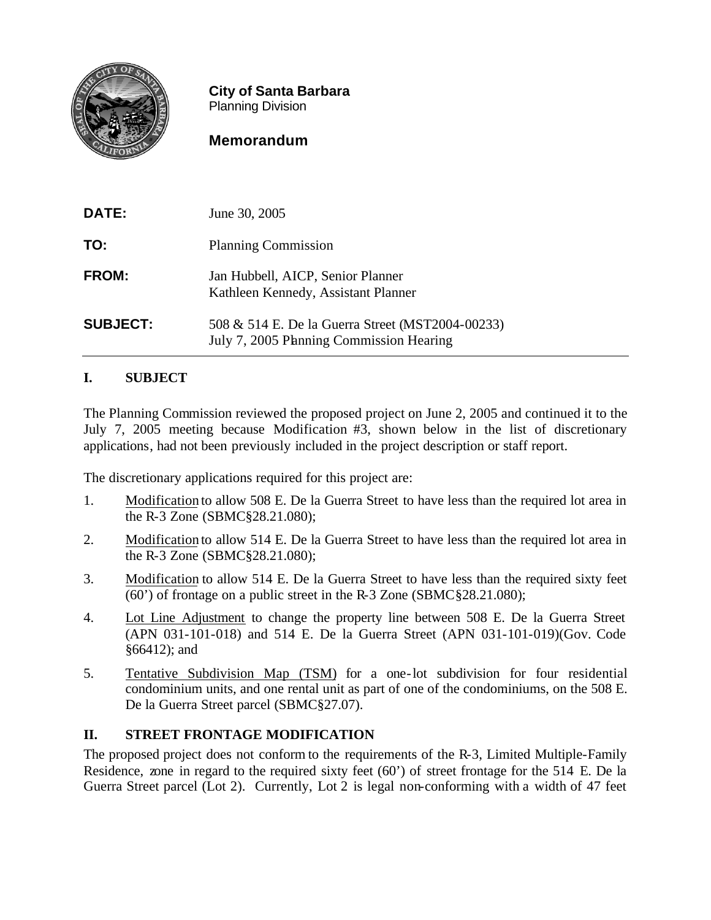

**City of Santa Barbara** Planning Division

# **Memorandum**

| <b>DATE:</b>    | June 30, 2005                                                                                |
|-----------------|----------------------------------------------------------------------------------------------|
| TO:             | <b>Planning Commission</b>                                                                   |
| FROM:           | Jan Hubbell, AICP, Senior Planner<br>Kathleen Kennedy, Assistant Planner                     |
| <b>SUBJECT:</b> | 508 & 514 E. De la Guerra Street (MST2004-00233)<br>July 7, 2005 Planning Commission Hearing |

# **I. SUBJECT**

The Planning Commission reviewed the proposed project on June 2, 2005 and continued it to the July 7, 2005 meeting because Modification #3, shown below in the list of discretionary applications, had not been previously included in the project description or staff report.

The discretionary applications required for this project are:

- 1. Modification to allow 508 E. De la Guerra Street to have less than the required lot area in the R-3 Zone (SBMC§28.21.080);
- 2. Modification to allow 514 E. De la Guerra Street to have less than the required lot area in the R-3 Zone (SBMC§28.21.080);
- 3. Modification to allow 514 E. De la Guerra Street to have less than the required sixty feet  $\overline{(60)}$  of frontage on a public street in the R-3 Zone (SBMC§28.21.080);
- 4. Lot Line Adjustment to change the property line between 508 E. De la Guerra Street (APN 031-101-018) and 514 E. De la Guerra Street (APN 031-101-019)(Gov. Code §66412); and
- 5. Tentative Subdivision Map (TSM) for a one-lot subdivision for four residential condominium units, and one rental unit as part of one of the condominiums, on the 508 E. De la Guerra Street parcel (SBMC§27.07).

## **II. STREET FRONTAGE MODIFICATION**

The proposed project does not conform to the requirements of the R-3, Limited Multiple-Family Residence, zone in regard to the required sixty feet (60') of street frontage for the 514 E. De la Guerra Street parcel (Lot 2). Currently, Lot 2 is legal non-conforming with a width of 47 feet